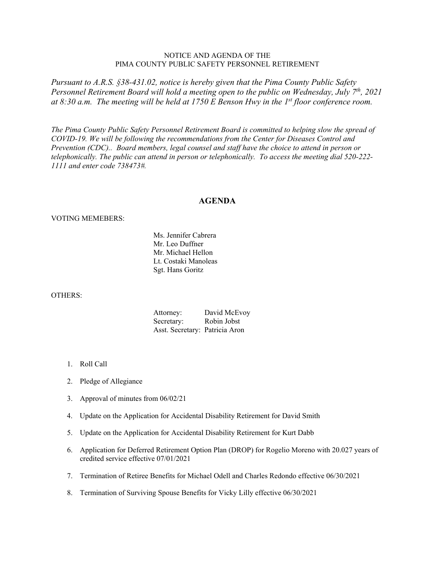## NOTICE AND AGENDA OF THE PIMA COUNTY PUBLIC SAFETY PERSONNEL RETIREMENT

*Pursuant to A.R.S. §38-431.02, notice is hereby given that the Pima County Public Safety Personnel Retirement Board will hold a meeting open to the public on Wednesday, July 7th, 2021 at 8:30 a.m. The meeting will be held at 1750 E Benson Hwy in the 1st floor conference room.* 

*The Pima County Public Safety Personnel Retirement Board is committed to helping slow the spread of COVID-19. We will be following the recommendations from the Center for Diseases Control and Prevention (CDC).. Board members, legal counsel and staff have the choice to attend in person or telephonically. The public can attend in person or telephonically. To access the meeting dial 520-222- 1111 and enter code 738473#.*

## **AGENDA**

## VOTING MEMEBERS:

 Ms. Jennifer Cabrera Mr. Leo Duffner Mr. Michael Hellon Lt. Costaki Manoleas Sgt. Hans Goritz

## OTHERS:

| Attorney:                      | David McEvoy |
|--------------------------------|--------------|
| Secretary:                     | Robin Jobst  |
| Asst. Secretary: Patricia Aron |              |

- 1. Roll Call
- 2. Pledge of Allegiance
- 3. Approval of minutes from 06/02/21
- 4. Update on the Application for Accidental Disability Retirement for David Smith
- 5. Update on the Application for Accidental Disability Retirement for Kurt Dabb
- 6. Application for Deferred Retirement Option Plan (DROP) for Rogelio Moreno with 20.027 years of credited service effective 07/01/2021
- 7. Termination of Retiree Benefits for Michael Odell and Charles Redondo effective 06/30/2021
- 8. Termination of Surviving Spouse Benefits for Vicky Lilly effective 06/30/2021